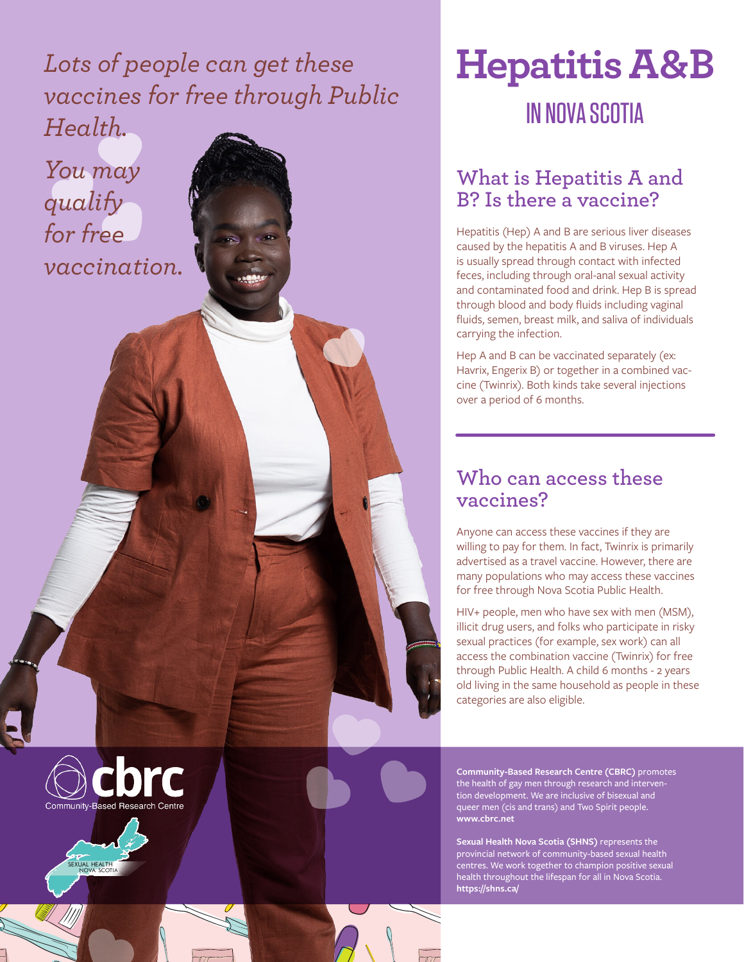*Lots of people can get these vaccines for free through Public Health.*

*You may qualify for free vaccination.*

# **Hepatitis A & B** IN NOVA SCOTIA

### **What is Hepatitis A and B? Is there a vaccine?**

Hepatitis (Hep) A and B are serious liver diseases caused by the hepatitis A and B viruses. Hep A is usually spread through contact with infected feces, including through oral-anal sexual activity and contaminated food and drink. Hep B is spread through blood and body fluids including vaginal fluids, semen, breast milk, and saliva of individuals carrying the infection.

Hep A and B can be vaccinated separately (ex: Havrix, Engerix B) or together in a combined vaccine (Twinrix). Both kinds take several injections over a period of 6 months.

#### **Who can access these vaccines?**

Anyone can access these vaccines if they are willing to pay for them. In fact, Twinrix is primarily advertised as a travel vaccine. However, there are many populations who may access these vaccines for free through Nova Scotia Public Health.

HIV+ people, men who have sex with men (MSM), illicit drug users, and folks who participate in risky sexual practices (for example, sex work) can all access the combination vaccine (Twinrix) for free through Public Health. A child 6 months - 2 years old living in the same household as people in these categories are also eligible.

**Community-Based Research Centre (CBRC)** promotes the health of gay men through research and intervention development. We are inclusive of bisexual and queer men (cis and trans) and Two Spirit people. **www.cbrc.net**

**Sexual Health Nova Scotia (SHNS)** represents the provincial network of community-based sexual health centres. We work together to champion positive sexual health throughout the lifespan for all in Nova Scotia. **https://shns.ca/**